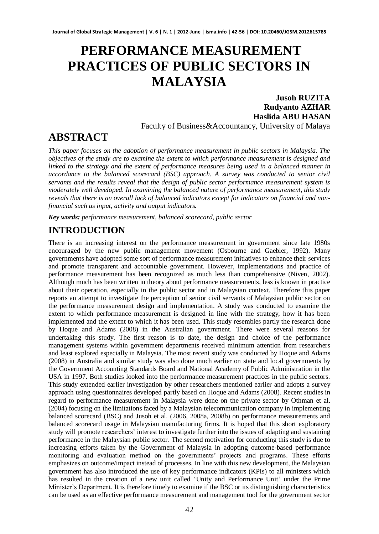# **PERFORMANCE MEASUREMENT PRACTICES OF PUBLIC SECTORS IN MALAYSIA**

### **Jusoh RUZITA Rudyanto AZHAR Haslida ABU HASAN**

Faculty of Business&Accountancy, University of Malaya

# **ABSTRACT**

*This paper focuses on the adoption of performance measurement in public sectors in Malaysia. The objectives of the study are to examine the extent to which performance measurement is designed and linked to the strategy and the extent of performance measures being used in a balanced manner in accordance to the balanced scorecard (BSC) approach. A survey was conducted to senior civil servants and the results reveal that the design of public sector performance measurement system is moderately well developed. In examining the balanced nature of performance measurement, this study reveals that there is an overall lack of balanced indicators except for indicators on financial and nonfinancial such as input, activity and output indicators.* 

*Key words: performance measurement, balanced scorecard, public sector* 

# **INTRODUCTION**

There is an increasing interest on the performance measurement in government since late 1980s encouraged by the new public management movement (Osbourne and Gaebler, 1992). Many governments have adopted some sort of performance measurement initiatives to enhance their services and promote transparent and accountable government. However, implementations and practice of performance measurement has been recognized as much less than comprehensive (Niven, 2002). Although much has been written in theory about performance measurements, less is known in practice about their operation, especially in the public sector and in Malaysian context. Therefore this paper reports an attempt to investigate the perception of senior civil servants of Malaysian public sector on the performance measurement design and implementation. A study was conducted to examine the extent to which performance measurement is designed in line with the strategy, how it has been implemented and the extent to which it has been used. This study resembles partly the research done by Hoque and Adams (2008) in the Australian government. There were several reasons for undertaking this study. The first reason is to date, the design and choice of the performance management systems within government departments received minimum attention from researchers and least explored especially in Malaysia. The most recent study was conducted by Hoque and Adams (2008) in Australia and similar study was also done much earlier on state and local governments by the Government Accounting Standards Board and National Academy of Public Administration in the USA in 1997. Both studies looked into the performance measurement practices in the public sectors. This study extended earlier investigation by other researchers mentioned earlier and adopts a survey approach using questionnaires developed partly based on Hoque and Adams (2008). Recent studies in regard to performance measurement in Malaysia were done on the private sector by Othman et al. (2004) focusing on the limitations faced by a Malaysian telecommunication company in implementing balanced scorecard (BSC) and Jusoh et al. (2006, 2008a, 2008b) on performance measurements and balanced scorecard usage in Malaysian manufacturing firms. It is hoped that this short exploratory study will promote researchers' interest to investigate further into the issues of adapting and sustaining performance in the Malaysian public sector. The second motivation for conducting this study is due to increasing efforts taken by the Government of Malaysia in adopting outcome-based performance monitoring and evaluation method on the governments' projects and programs. These efforts emphasizes on outcome/impact instead of processes. In line with this new development, the Malaysian government has also introduced the use of key performance indicators (KPIs) to all ministers which has resulted in the creation of a new unit called 'Unity and Performance Unit' under the Prime Minister's Department. It is therefore timely to examine if the BSC or its distinguishing characteristics can be used as an effective performance measurement and management tool for the government sector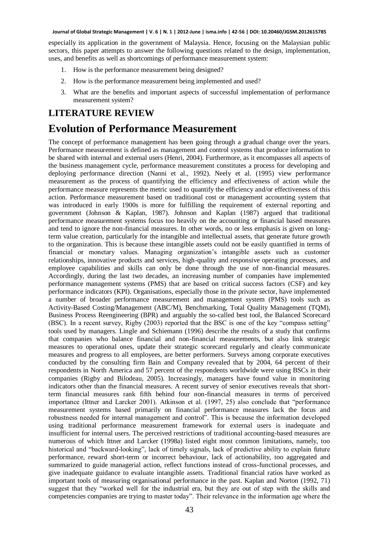especially its application in the government of Malaysia. Hence, focusing on the Malaysian public sectors, this paper attempts to answer the following questions related to the design, implementation, uses, and benefits as well as shortcomings of performance measurement system:

- 1. How is the performance measurement being designed?
- 2. How is the performance measurement being implemented and used?
- 3. What are the benefits and important aspects of successful implementation of performance measurement system?

# **LITERATURE REVIEW**

# **Evolution of Performance Measurement**

The concept of performance management has been going through a gradual change over the years. Performance measurement is defined as management and control systems that produce information to be shared with internal and external users (Henri, 2004). Furthermore, as it encompasses all aspects of the business management cycle, performance measurement constitutes a process for developing and deploying performance direction (Nanni et al., 1992). Neely et al. (1995) view performance measurement as the process of quantifying the efficiency and effectiveness of action while the performance measure represents the metric used to quantify the efficiency and/or effectiveness of this action. Performance measurement based on traditional cost or management accounting system that was introduced in early 1900s is more for fulfilling the requirement of external reporting and government (Johnson & Kaplan, 1987). Johnson and Kaplan (1987) argued that traditional performance measurement systems focus too heavily on the accounting or financial based measures and tend to ignore the non-financial measures. In other words, no or less emphasis is given on longterm value creation, particularly for the intangible and intellectual assets, that generate future growth to the organization. This is because these intangible assets could not be easily quantified in terms of financial or monetary values. Managing organization's intangible assets such as customer relationships, innovative products and services, high-quality and responsive operating processes, and employee capabilities and skills can only be done through the use of non-financial measures. Accordingly, during the last two decades, an increasing number of companies have implemented performance management systems (PMS) that are based on critical success factors (CSF) and key performance indicators (KPI). Organisations, especially those in the private sector, have implemented a number of broader performance measurement and management system (PMS) tools such as Activity-Based Costing/Management (ABC/M), Benchmarking, Total Quality Management (TQM), Business Process Reengineering (BPR) and arguably the so-called best tool, the Balanced Scorecard (BSC). In a recent survey, Rigby (2003) reported that the BSC is one of the key "compass setting" tools used by managers. Lingle and Schiemann (1996) describe the results of a study that confirms that companies who balance financial and non-financial measurements, but also link strategic measures to operational ones, update their strategic scorecard regularly and clearly communicate measures and progress to all employees, are better performers. Surveys among corporate executives conducted by the consulting firm Bain and Company revealed that by 2004, 64 percent of their respondents in North America and 57 percent of the respondents worldwide were using BSCs in their companies (Rigby and Bilodeau, 2005). Increasingly, managers have found value in monitoring indicators other than the financial measures. A recent survey of senior executives reveals that shortterm financial measures rank fifth behind four non-financial measures in terms of perceived importance (Ittner and Larcker 2001). Atkinson et al. (1997, 25) also conclude that "performance measurement systems based primarily on financial performance measures lack the focus and robustness needed for internal management and control". This is because the information developed using traditional performance measurement framework for external users is inadequate and insufficient for internal users. The perceived restrictions of traditional accounting-based measures are numerous of which Ittner and Larcker (1998a) listed eight most common limitations, namely, too historical and "backward-looking", lack of timely signals, lack of predictive ability to explain future performance, reward short-term or incorrect behaviour, lack of actionability, too aggregated and summarized to guide managerial action, reflect functions instead of cross-functional processes, and give inadequate guidance to evaluate intangible assets. Traditional financial ratios have worked as important tools of measuring organisational performance in the past. Kaplan and Norton (1992, 71) suggest that they "worked well for the industrial era, but they are out of step with the skills and competencies companies are trying to master today". Their relevance in the information age where the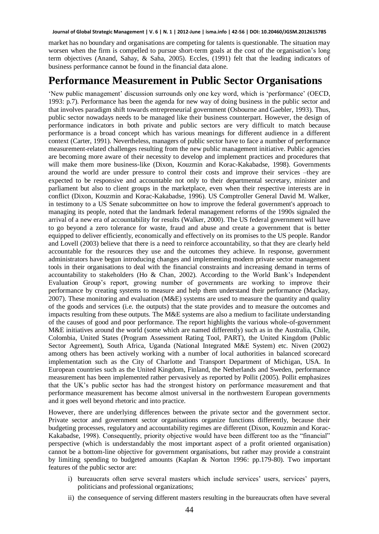market has no boundary and organisations are competing for talents is questionable. The situation may worsen when the firm is compelled to pursue short-term goals at the cost of the organisation's long term objectives (Anand, Sahay, & Saha, 2005). Eccles, (1991) felt that the leading indicators of business performance cannot be found in the financial data alone.

# **Performance Measurement in Public Sector Organisations**

'New public management' discussion surrounds only one key word, which is 'performance' (OECD, 1993: p.7). Performance has been the agenda for new way of doing business in the public sector and that involves paradigm shift towards entrepreneurial government (Osbourne and Gaebler, 1993). Thus, public sector nowadays needs to be managed like their business counterpart. However, the design of performance indicators in both private and public sectors are very difficult to match because performance is a broad concept which has various meanings for different audience in a different context (Carter, 1991). Nevertheless, managers of public sector have to face a number of performance measurement-related challenges resulting from the new public management initiative. Public agencies are becoming more aware of their necessity to develop and implement practices and procedures that will make them more business-like (Dixon, Kouzmin and Korac-Kakabadse, 1998). Governments around the world are under pressure to control their costs and improve their services –they are expected to be responsive and accountable not only to their departmental secretary, minister and parliament but also to client groups in the marketplace, even when their respective interests are in conflict (Dixon, Kouzmin and Korac-Kakabadse, 1996). US Comptroller General David M. Walker, in testimony to a US Senate subcommittee on how to improve the federal government's approach to managing its people, noted that the landmark federal management reforms of the 1990s signaled the arrival of a new era of accountability for results (Walker, 2000). The US federal government will have to go beyond a zero tolerance for waste, fraud and abuse and create a government that is better equipped to deliver efficiently, economically and effectively on its promises to the US people. Randor and Lovell (2003) believe that there is a need to reinforce accountability, so that they are clearly held accountable for the resources they use and the outcomes they achieve. In response, government administrators have begun introducing changes and implementing modern private sector management tools in their organisations to deal with the financial constraints and increasing demand in terms of accountability to stakeholders (Ho & Chan, 2002). According to the World Bank's Independent Evaluation Group's report, growing number of governments are working to improve their performance by creating systems to measure and help them understand their performance (Mackay, 2007). These monitoring and evaluation (M&E) systems are used to measure the quantity and quality of the goods and services (i.e. the outputs) that the state provides and to measure the outcomes and impacts resulting from these outputs. The M&E systems are also a medium to facilitate understanding of the causes of good and poor performance. The report highlights the various whole-of-government M&E initiatives around the world (some which are named differently) such as in the Australia, Chile, Colombia, United States (Program Assessment Rating Tool, PART), the United Kingdom (Public Sector Agreement), South Africa, Uganda (National Integrated M&E System) etc. Niven (2002) among others has been actively working with a number of local authorities in balanced scorecard implementation such as the City of Charlotte and Transport Department of Michigan, USA. In European countries such as the United Kingdom, Finland, the Netherlands and Sweden, performance measurement has been implemented rather pervasively as reported by Pollit (2005). Pollit emphasizes that the UK's public sector has had the strongest history on performance measurement and that performance measurement has become almost universal in the northwestern European governments and it goes well beyond rhetoric and into practice.

However, there are underlying differences between the private sector and the government sector. Private sector and government sector organisations organize functions differently, because their budgeting processes, regulatory and accountability regimes are different (Dixon, Kouzmin and Korac-Kakabadse, 1998). Consequently, priority objective would have been different too as the "financial" perspective (which is understandably the most important aspect of a profit oriented organisation) cannot be a bottom-line objective for government organisations, but rather may provide a constraint by limiting spending to budgeted amounts (Kaplan & Norton 1996: pp.179-80). Two important features of the public sector are:

- i) bureaucrats often serve several masters which include services' users, services' payers, politicians and professional organizations;
- ii) the consequence of serving different masters resulting in the bureaucrats often have several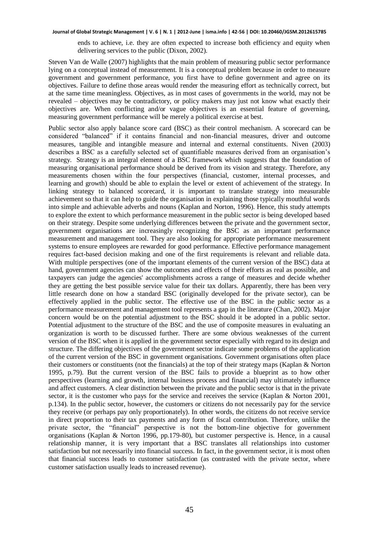ends to achieve, i.e. they are often expected to increase both efficiency and equity when delivering services to the public (Dixon, 2002).

Steven Van de Walle (2007) highlights that the main problem of measuring public sector performance lying on a conceptual instead of measurement. It is a conceptual problem because in order to measure government and government performance, you first have to define government and agree on its objectives. Failure to define those areas would render the measuring effort as technically correct, but at the same time meaningless. Objectives, as in most cases of governments in the world, may not be revealed – objectives may be contradictory, or policy makers may just not know what exactly their objectives are. When conflicting and/or vague objectives is an essential feature of governing, measuring government performance will be merely a political exercise at best.

Public sector also apply balance score card (BSC) as their control mechanism. A scorecard can be considered "balanced" if it contains financial and non-financial measures, driver and outcome measures, tangible and intangible measure and internal and external constituents. Niven (2003) describes a BSC as a carefully selected set of quantifiable measures derived from an organisation's strategy. Strategy is an integral element of a BSC framework which suggests that the foundation of measuring organisational performance should be derived from its vision and strategy. Therefore, any measurements chosen within the four perspectives (financial, customer, internal processes, and learning and growth) should be able to explain the level or extent of achievement of the strategy. In linking strategy to balanced scorecard, it is important to translate strategy into measurable achievement so that it can help to guide the organisation in explaining those typically mouthful words into simple and achievable adverbs and nouns (Kaplan and Norton, 1996). Hence, this study attempts to explore the extent to which performance measurement in the public sector is being developed based on their strategy. Despite some underlying differences between the private and the government sector, government organisations are increasingly recognizing the BSC as an important performance measurement and management tool. They are also looking for appropriate performance measurement systems to ensure employees are rewarded for good performance. Effective performance management requires fact-based decision making and one of the first requirements is relevant and reliable data. With multiple perspectives (one of the important elements of the current version of the BSC) data at hand, government agencies can show the outcomes and effects of their efforts as real as possible, and taxpayers can judge the agencies' accomplishments across a range of measures and decide whether they are getting the best possible service value for their tax dollars. Apparently, there has been very little research done on how a standard BSC (originally developed for the private sector), can be effectively applied in the public sector. The effective use of the BSC in the public sector as a performance measurement and management tool represents a gap in the literature (Chan, 2002). Major concern would be on the potential adjustment to the BSC should it be adopted in a public sector. Potential adjustment to the structure of the BSC and the use of composite measures in evaluating an organization is worth to be discussed further. There are some obvious weaknesses of the current version of the BSC when it is applied in the government sector especially with regard to its design and structure. The differing objectives of the government sector indicate some problems of the application of the current version of the BSC in government organisations. Government organisations often place their customers or constituents (not the financials) at the top of their strategy maps (Kaplan & Norton 1995, p.79). But the current version of the BSC fails to provide a blueprint as to how other perspectives (learning and growth, internal business process and financial) may ultimately influence and affect customers. A clear distinction between the private and the public sector is that in the private sector, it is the customer who pays for the service and receives the service (Kaplan & Norton 2001, p.134). In the public sector, however, the customers or citizens do not necessarily pay for the service they receive (or perhaps pay only proportionately). In other words, the citizens do not receive service in direct proportion to their tax payments and any form of fiscal contribution. Therefore, unlike the private sector, the "financial" perspective is not the bottom-line objective for government organisations (Kaplan & Norton 1996, pp.179-80), but customer perspective is. Hence, in a causal relationship manner, it is very important that a BSC translates all relationships into customer satisfaction but not necessarily into financial success. In fact, in the government sector, it is most often that financial success leads to customer satisfaction (as contrasted with the private sector, where customer satisfaction usually leads to increased revenue).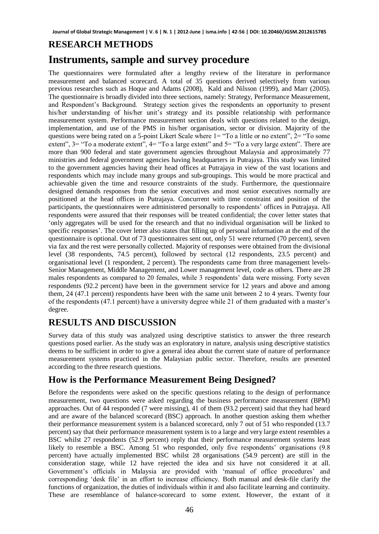# **RESEARCH METHODS**

# **Instruments, sample and survey procedure**

The questionnaires were formulated after a lengthy review of the literature in performance measurement and balanced scorecard. A total of 35 questions derived selectively from various previous researches such as Hoque and Adams (2008), Kald and Nilsson (1999), and Marr (2005). The questionnaire is broadly divided into three sections, namely: Strategy, Performance Measurement, and Respondent's Background. Strategy section gives the respondents an opportunity to present his/her understanding of his/her unit's strategy and its possible relationship with performance measurement system. Performance measurement section deals with questions related to the design, implementation, and use of the PMS in his/her organisation, sector or division. Majority of the questions were being rated on a 5-point Likert Scale where 1= "To a little or no extent", 2= "To some extent",  $3=$  "To a moderate extent",  $4=$  "To a large extent" and  $5=$  "To a very large extent". There are more than 900 federal and state government agencies throughout Malaysia and approximately 77 ministries and federal government agencies having headquarters in Putrajaya. This study was limited to the government agencies having their head offices at Putrajaya in view of the vast locations and respondents which may include many groups and sub-groupings. This would be more practical and achievable given the time and resource constraints of the study. Furthermore, the questionnaire designed demands responses from the senior executives and most senior executives normally are positioned at the head offices in Putrajaya. Concurrent with time constraint and position of the participants, the questionnaires were administered personally to respondents' offices in Putrajaya. All respondents were assured that their responses will be treated confidential; the cover letter states that 'only aggregates will be used for the research and that no individual organisation will be linked to specific responses'. The cover letter also states that filling up of personal information at the end of the questionnaire is optional. Out of 73 questionnaires sent out, only 51 were returned (70 percent), seven via fax and the rest were personally collected. Majority of responses were obtained from the divisional level (38 respondents, 74.5 percent), followed by sectoral (12 respondents, 23.5 percent) and organisational level (1 respondent, 2 percent). The respondents came from three management levels-Senior Management, Middle Management, and Lower management level, code as others. There are 28 males respondents as compared to 20 females, while 3 respondents' data were missing. Forty seven respondents (92.2 percent) have been in the government service for 12 years and above and among them, 24 (47.1 percent) respondents have been with the same unit between 2 to 4 years. Twenty four of the respondents (47.1 percent) have a university degree while 21 of them graduated with a master's degree.

# **RESULTS AND DISCUSSION**

Survey data of this study was analyzed using descriptive statistics to answer the three research questions posed earlier. As the study was an exploratory in nature, analysis using descriptive statistics deems to be sufficient in order to give a general idea about the current state of nature of performance measurement systems practiced in the Malaysian public sector. Therefore, results are presented according to the three research questions.

# **How is the Performance Measurement Being Designed?**

Before the respondents were asked on the specific questions relating to the design of performance measurement, two questions were asked regarding the business performance measurement (BPM) approaches. Out of 44 responded (7 were missing), 41 of them (93.2 percent) said that they had heard and are aware of the balanced scorecard (BSC) approach. In another question asking them whether their performance measurement system is a balanced scorecard, only 7 out of 51 who responded (13.7 percent) say that their performance measurement system is to a large and very large extent resembles a BSC whilst 27 respondents (52.9 percent) reply that their performance measurement systems least likely to resemble a BSC. Among 51 who responded, only five respondents' organisations (9.8 percent) have actually implemented BSC whilst 28 organisations (54.9 percent) are still in the consideration stage, while 12 have rejected the idea and six have not considered it at all. Government's officials in Malaysia are provided with 'manual of office procedures' and corresponding 'desk file' in an effort to increase efficiency. Both manual and desk-file clarify the functions of organization, the duties of individuals within it and also facilitate learning and continuity. These are resemblance of balance-scorecard to some extent. However, the extant of it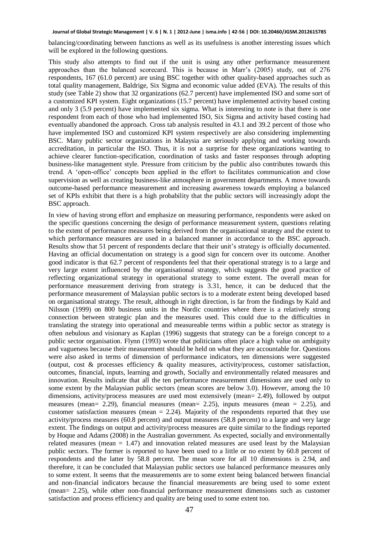balancing/coordinating between functions as well as its usefulness is another interesting issues which will be explored in the following questions.

This study also attempts to find out if the unit is using any other performance measurement approaches than the balanced scorecard. This is because in Marr's (2005) study, out of 276 respondents, 167 (61.0 percent) are using BSC together with other quality-based approaches such as total quality management, Baldrige, Six Sigma and economic value added (EVA). The results of this study (see Table 2) show that 32 organizations (62.7 percent) have implemented ISO and some sort of a customized KPI system. Eight organizations (15.7 percent) have implemented activity based costing and only 3 (5.9 percent) have implemented six sigma. What is interesting to note is that there is one respondent from each of those who had implemented ISO, Six Sigma and activity based costing had eventually abandoned the approach. Cross tab analysis resulted in 43.1 and 39.2 percent of those who have implemented ISO and customized KPI system respectively are also considering implementing BSC. Many public sector organizations in Malaysia are seriously applying and working towards accreditation, in particular the ISO. Thus, it is not a surprise for these organizations wanting to achieve clearer function-specification, coordination of tasks and faster responses through adopting business-like management style. Pressure from criticism by the public also contributes towards this trend. A 'open-office' concepts been applied in the effort to facilitates communication and close supervision as well as creating business-like atmosphere in government departments. A move towards outcome-based performance measurement and increasing awareness towards employing a balanced set of KPIs exhibit that there is a high probability that the public sectors will increasingly adopt the BSC approach.

In view of having strong effort and emphasize on measuring performance, respondents were asked on the specific questions concerning the design of performance measurement system, questions relating to the extent of performance measures being derived from the organisational strategy and the extent to which performance measures are used in a balanced manner in accordance to the BSC approach. Results show that 51 percent of respondents declare that their unit's strategy is officially documented. Having an official documentation on strategy is a good sign for concern over its outcome. Another good indicator is that 62.7 percent of respondents feel that their operational strategy is to a large and very large extent influenced by the organisational strategy, which suggests the good practice of reflecting organizational strategy in operational strategy to some extent. The overall mean for performance measurement deriving from strategy is 3.31, hence, it can be deduced that the performance measurement of Malaysian public sectors is to a moderate extent being developed based on organisational strategy. The result, although in right direction, is far from the findings by Kald and Nilsson (1999) on 800 business units in the Nordic countries where there is a relatively strong connection between strategic plan and the measures used. This could due to the difficulties in translating the strategy into operational and measureable terms within a public sector as strategy is often nebulous and visionary as Kaplan (1996) suggests that strategy can be a foreign concept to a public sector organisation. Flynn (1993) wrote that politicians often place a high value on ambiguity and vagueness because their measurement should be held on what they are accountable for. Questions were also asked in terms of dimension of performance indicators, ten dimensions were suggested (output, cost  $\&$  processes efficiency  $\&$  quality measures, activity/process, customer satisfaction, outcomes, financial, inputs, learning and growth, Socially and environmentally related measures and innovation. Results indicate that all the ten performance measurement dimensions are used only to some extent by the Malaysian public sectors (mean scores are below 3.0). However, among the 10 dimensions, activity/process measures are used most extensively (mean= 2.49), followed by output measures (mean= 2.29), financial measures (mean= 2.25), inputs measures (mean = 2.25), and customer satisfaction measures (mean = 2.24). Majority of the respondents reported that they use activity/process measures (60.8 percent) and output measures (58.8 percent) to a large and very large extent. The findings on output and activity/process measures are quite similar to the findings reported by Hoque and Adams (2008) in the Australian government. As expected, socially and environmentally related measures (mean  $= 1.47$ ) and innovation related measures are used least by the Malaysian public sectors. The former is reported to have been used to a little or no extent by 60.8 percent of respondents and the latter by 58.8 percent. The mean score for all 10 dimensions is 2.94, and therefore, it can be concluded that Malaysian public sectors use balanced performance measures only to some extent. It seems that the measurements are to some extent being balanced between financial and non-financial indicators because the financial measurements are being used to some extent (mean= 2.25), while other non-financial performance measurement dimensions such as customer satisfaction and process efficiency and quality are being used to some extent too.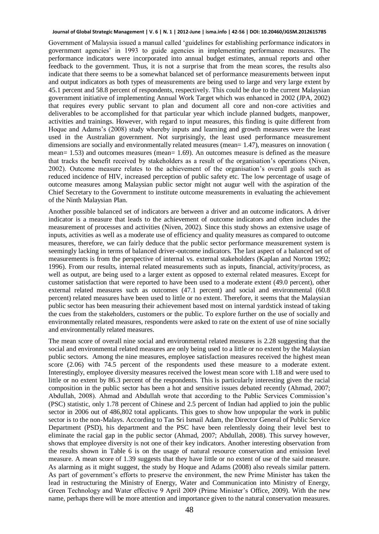Government of Malaysia issued a manual called 'guidelines for establishing performance indicators in government agencies' in 1993 to guide agencies in implementing performance measures. The performance indicators were incorporated into annual budget estimates, annual reports and other feedback to the government. Thus, it is not a surprise that from the mean scores, the results also indicate that there seems to be a somewhat balanced set of performance measurements between input and output indicators as both types of measurements are being used to large and very large extent by 45.1 percent and 58.8 percent of respondents, respectively. This could be due to the current Malaysian government initiative of implementing Annual Work Target which was enhanced in 2002 (JPA, 2002) that requires every public servant to plan and document all core and non-core activities and deliverables to be accomplished for that particular year which include planned budgets, manpower, activities and trainings. However, with regard to input measures, this finding is quite different from Hoque and Adams's (2008) study whereby inputs and learning and growth measures were the least used in the Australian government. Not surprisingly, the least used performance measurement dimensions are socially and environmentally related measures (mean= 1.47), measures on innovation ( mean= 1.53) and outcomes measures (mean= 1.69). An outcomes measure is defined as the measure that tracks the benefit received by stakeholders as a result of the organisation's operations (Niven, 2002). Outcome measure relates to the achievement of the organisation's overall goals such as reduced incidence of HIV, increased perception of public safety etc. The low percentage of usage of outcome measures among Malaysian public sector might not augur well with the aspiration of the Chief Secretary to the Government to institute outcome measurements in evaluating the achievement of the Ninth Malaysian Plan.

Another possible balanced set of indicators are between a driver and an outcome indicators. A driver indicator is a measure that leads to the achievement of outcome indicators and often includes the measurement of processes and activities (Niven, 2002). Since this study shows an extensive usage of inputs, activities as well as a moderate use of efficiency and quality measures as compared to outcome measures, therefore, we can fairly deduce that the public sector performance measurement system is seemingly lacking in terms of balanced driver-outcome indicators. The last aspect of a balanced set of measurements is from the perspective of internal vs. external stakeholders (Kaplan and Norton 1992; 1996). From our results, internal related measurements such as inputs, financial, activity/process, as well as output, are being used to a larger extent as opposed to external related measures. Except for customer satisfaction that were reported to have been used to a moderate extent (49.0 percent), other external related measures such as outcomes (47.1 percent) and social and environmental (60.8 percent) related measures have been used to little or no extent. Therefore, it seems that the Malaysian public sector has been measuring their achievement based most on internal yardstick instead of taking the cues from the stakeholders, customers or the public. To explore further on the use of socially and environmentally related measures, respondents were asked to rate on the extent of use of nine socially and environmentally related measures.

The mean score of overall nine social and environmental related measures is 2.28 suggesting that the social and environmental related measures are only being used to a little or no extent by the Malaysian public sectors. Among the nine measures, employee satisfaction measures received the highest mean score (2.06) with 74.5 percent of the respondents used these measure to a moderate extent. Interestingly, employee diversity measures received the lowest mean score with 1.18 and were used to little or no extent by 86.3 percent of the respondents. This is particularly interesting given the racial composition in the public sector has been a hot and sensitive issues debated recently (Ahmad, 2007; Abdullah, 2008). Ahmad and Abdullah wrote that according to the Public Services Commission's (PSC) statistic, only 1.78 percent of Chinese and 2.5 percent of Indian had applied to join the public sector in 2006 out of 486,802 total applicants. This goes to show how unpopular the work in public sector is to the non-Malays. According to Tan Sri Ismail Adam, the Director General of Public Service Department (PSD), his department and the PSC have been relentlessly doing their level best to eliminate the racial gap in the public sector (Ahmad, 2007; Abdullah, 2008). This survey however, shows that employee diversity is not one of their key indicators. Another interesting observation from the results shown in Table 6 is on the usage of natural resource conservation and emission level measure. A mean score of 1.39 suggests that they have little or no extent of use of the said measure. As alarming as it might suggest, the study by Hoque and Adams (2008) also reveals similar pattern. As part of government's efforts to preserve the environment, the new Prime Minister has taken the lead in restructuring the Ministry of Energy, Water and Communication into Ministry of Energy, Green Technology and Water effective 9 April 2009 (Prime Minister's Office, 2009). With the new name, perhaps there will be more attention and importance given to the natural conservation measures.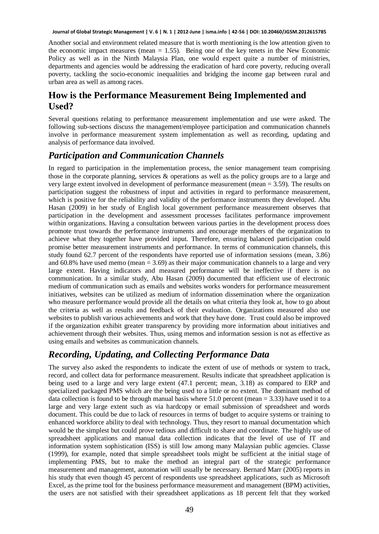Another social and environment related measure that is worth mentioning is the low attention given to the economic impact measures (mean = 1.55). Being one of the key tenets in the New Economic Policy as well as in the Ninth Malaysia Plan, one would expect quite a number of ministries, departments and agencies would be addressing the eradication of hard core poverty, reducing overall poverty, tackling the socio-economic inequalities and bridging the income gap between rural and urban area as well as among races.

# **How is the Performance Measurement Being Implemented and Used?**

Several questions relating to performance measurement implementation and use were asked. The following sub-sections discuss the management/employee participation and communication channels involve in performance measurement system implementation as well as recording, updating and analysis of performance data involved.

### *Participation and Communication Channels*

In regard to participation in the implementation process, the senior management team comprising those in the corporate planning, services & operations as well as the policy groups are to a large and very large extent involved in development of performance measurement (mean = 3.59). The results on participation suggest the robustness of input and activities in regard to performance measurement, which is positive for the reliability and validity of the performance instruments they developed. Abu Hasan (2009) in her study of English local government performance measurement observes that participation in the development and assessment processes facilitates performance improvement within organizations. Having a consultation between various parties in the development process does promote trust towards the performance instruments and encourage members of the organization to achieve what they together have provided input. Therefore, ensuring balanced participation could promise better measurement instruments and performance. In terms of communication channels, this study found 62.7 percent of the respondents have reported use of information sessions (mean, 3.86) and  $60.8\%$  have used memo (mean = 3.69) as their major communication channels to a large and very large extent. Having indicators and measured performance will be ineffective if there is no communication. In a similar study, Abu Hasan (2009) documented that efficient use of electronic medium of communication such as emails and websites works wonders for performance measurement initiatives, websites can be utilized as medium of information dissemination where the organization who measure performance would provide all the details on what criteria they look at, how to go about the criteria as well as results and feedback of their evaluation. Organizations measured also use websites to publish various achievements and work that they have done. Trust could also be improved if the organization exhibit greater transparency by providing more information about initiatives and achievement through their websites. Thus, using memos and information session is not as effective as using emails and websites as communication channels.

# *Recording, Updating, and Collecting Performance Data*

The survey also asked the respondents to indicate the extent of use of methods or system to track, record, and collect data for performance measurement. Results indicate that spreadsheet application is being used to a large and very large extent (47.1 percent; mean, 3.18) as compared to ERP and specialized packaged PMS which are the being used to a little or no extent. The dominant method of data collection is found to be through manual basis where 51.0 percent (mean = 3.33) have used it to a large and very large extent such as via hardcopy or email submission of spreadsheet and words document. This could be due to lack of resources in terms of budget to acquire systems or training to enhanced workforce ability to deal with technology. Thus, they resort to manual documentation which would be the simplest but could prove tedious and difficult to share and coordinate. The highly use of spreadsheet applications and manual data collection indicates that the level of use of IT and information system sophistication (ISS) is still low among many Malaysian public agencies. Classe (1999), for example, noted that simple spreadsheet tools might be sufficient at the initial stage of implementing PMS, but to make the method an integral part of the strategic performance measurement and management, automation will usually be necessary. Bernard Marr (2005) reports in his study that even though 45 percent of respondents use spreadsheet applications, such as Microsoft Excel, as the prime tool for the business performance measurement and management (BPM) activities, the users are not satisfied with their spreadsheet applications as 18 percent felt that they worked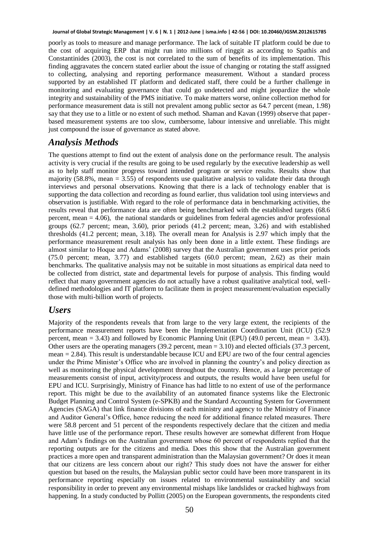poorly as tools to measure and manage performance. The lack of suitable IT platform could be due to the cost of acquiring ERP that might run into millions of ringgit as according to Spathis and Constantinides (2003), the cost is not correlated to the sum of benefits of its implementation. This finding aggravates the concern stated earlier about the issue of changing or rotating the staff assigned to collecting, analysing and reporting performance measurement. Without a standard process supported by an established IT platform and dedicated staff, there could be a further challenge in monitoring and evaluating governance that could go undetected and might jeopardize the whole integrity and sustainability of the PMS initiative. To make matters worse, online collection method for performance measurement data is still not prevalent among public sector as 64.7 percent (mean, 1.98) say that they use to a little or no extent of such method. Shaman and Kavan (1999) observe that paperbased measurement systems are too slow, cumbersome, labour intensive and unreliable. This might just compound the issue of governance as stated above.

## *Analysis Methods*

The questions attempt to find out the extent of analysis done on the performance result. The analysis activity is very crucial if the results are going to be used regularly by the executive leadership as well as to help staff monitor progress toward intended program or service results. Results show that majority (58.8%, mean = 3.55) of respondents use qualitative analysis to validate their data through interviews and personal observations. Knowing that there is a lack of technology enabler that is supporting the data collection and recording as found earlier, thus validation tool using interviews and observation is justifiable. With regard to the role of performance data in benchmarking activities, the results reveal that performance data are often being benchmarked with the established targets (68.6 percent, mean  $= 4.06$ ), the national standards or guidelines from federal agencies and/or professional groups (62.7 percent; mean, 3.60), prior periods (41.2 percent; mean, 3.26) and with established thresholds (41.2 percent; mean, 3.18). The overall mean for Analysis is 2.97 which imply that the performance measurement result analysis has only been done in a little extent. These findings are almost similar to Hoque and Adams' (2008) survey that the Australian government uses prior periods (75.0 percent; mean, 3.77) and established targets (60.0 percent; mean, 2.62) as their main benchmarks. The qualitative analysis may not be suitable in most situations as empirical data need to be collected from district, state and departmental levels for purpose of analysis. This finding would reflect that many government agencies do not actually have a robust qualitative analytical tool, welldefined methodologies and IT platform to facilitate them in project measurement/evaluation especially those with multi-billion worth of projects.

### *Users*

Majority of the respondents reveals that from large to the very large extent, the recipients of the performance measurement reports have been the Implementation Coordination Unit (ICU) (52.9 percent, mean = 3.43) and followed by Economic Planning Unit (EPU) (49.0 percent, mean = 3.43). Other users are the operating managers (39.2 percent, mean = 3.10) and elected officials (37.3 percent, mean = 2.84). This result is understandable because ICU and EPU are two of the four central agencies under the Prime Minister's Office who are involved in planning the country's and policy direction as well as monitoring the physical development throughout the country. Hence, as a large percentage of measurements consist of input, activity/process and outputs, the results would have been useful for EPU and ICU. Surprisingly, Ministry of Finance has had little to no extent of use of the performance report. This might be due to the availability of an automated finance systems like the Electronic Budget Planning and Control System (e-SPKB) and the Standard Accounting System for Government Agencies (SAGA) that link finance divisions of each ministry and agency to the Ministry of Finance and Auditor General's Office, hence reducing the need for additional finance related measures. There were 58.8 percent and 51 percent of the respondents respectively declare that the citizen and media have little use of the performance report. These results however are somewhat different from Hoque and Adam's findings on the Australian government whose 60 percent of respondents replied that the reporting outputs are for the citizens and media. Does this show that the Australian government practices a more open and transparent administration than the Malaysian government? Or does it mean that our citizens are less concern about our right? This study does not have the answer for either question but based on the results, the Malaysian public sector could have been more transparent in its performance reporting especially on issues related to environmental sustainability and social responsibility in order to prevent any environmental mishaps like landslides or cracked highways from happening. In a study conducted by Pollitt (2005) on the European governments, the respondents cited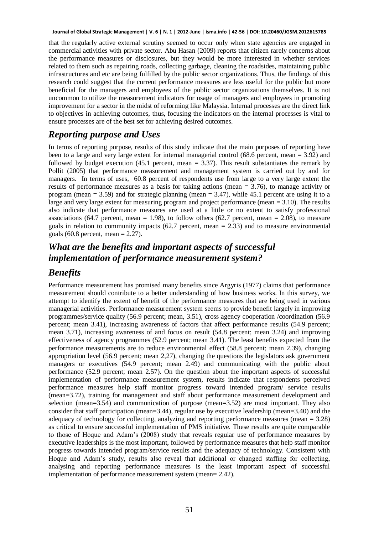that the regularly active external scrutiny seemed to occur only when state agencies are engaged in commercial activities with private sector. Abu Hasan (2009) reports that citizen rarely concerns about the performance measures or disclosures, but they would be more interested in whether services related to them such as repairing roads, collecting garbage, cleaning the roadsides, maintaining public infrastructures and etc are being fulfilled by the public sector organizations. Thus, the findings of this research could suggest that the current performance measures are less useful for the public but more beneficial for the managers and employees of the public sector organizations themselves. It is not uncommon to utilize the measurement indicators for usage of managers and employees in promoting improvement for a sector in the midst of reforming like Malaysia. Internal processes are the direct link to objectives in achieving outcomes, thus, focusing the indicators on the internal processes is vital to ensure processes are of the best set for achieving desired outcomes.

# *Reporting purpose and Uses*

In terms of reporting purpose, results of this study indicate that the main purposes of reporting have been to a large and very large extent for internal managerial control (68.6 percent, mean = 3.92) and followed by budget execution (45.1 percent, mean = 3.37). This result substantiates the remark by Pollit (2005) that performance measurement and management system is carried out by and for managers. In terms of uses, 60.8 percent of respondents use from large to a very large extent the results of performance measures as a basis for taking actions (mean = 3.76), to manage activity or program (mean = 3.59) and for strategic planning (mean = 3.47), while 45.1 percent are using it to a large and very large extent for measuring program and project performance (mean = 3.10). The results also indicate that performance measures are used at a little or no extent to satisfy professional associations (64.7 percent, mean = 1.98), to follow others (62.7 percent, mean = 2.08), to measure goals in relation to community impacts  $(62.7 \text{ percent}, \text{mean} = 2.33)$  and to measure environmental goals (60.8 percent, mean  $= 2.27$ ).

# *What are the benefits and important aspects of successful implementation of performance measurement system?*

## *Benefits*

Performance measurement has promised many benefits since Argyris (1977) claims that performance measurement should contribute to a better understanding of how business works. In this survey, we attempt to identify the extent of benefit of the performance measures that are being used in various managerial activities. Performance measurement system seems to provide benefit largely in improving programmes/service quality (56.9 percent; mean, 3.51), cross agency cooperation /coordination (56.9 percent; mean 3.41), increasing awareness of factors that affect performance results (54.9 percent; mean 3.71), increasing awareness of and focus on result (54.8 percent; mean 3.24) and improving effectiveness of agency programmes (52.9 percent; mean 3.41). The least benefits expected from the performance measurements are to reduce environmental effect (58.8 percent; mean 2.39), changing appropriation level (56.9 percent; mean 2,27), changing the questions the legislators ask government managers or executives (54.9 percent; mean 2.49) and communicating with the public about performance (52.9 percent; mean 2.57). On the question about the important aspects of successful implementation of performance measurement system, results indicate that respondents perceived performance measures help staff monitor progress toward intended program/ service results (mean=3.72), training for management and staff about performance measurement development and selection (mean=3.54) and communication of purpose (mean=3.52) are most important. They also consider that staff participation (mean=3.44), regular use by executive leadership (mean=3.40) and the adequacy of technology for collecting, analyzing and reporting performance measures (mean = 3.28) as critical to ensure successful implementation of PMS initiative. These results are quite comparable to those of Hoque and Adam's (2008) study that reveals regular use of performance measures by executive leaderships is the most important, followed by performance measures that help staff monitor progress towards intended program/service results and the adequacy of technology. Consistent with Hoque and Adam's study, results also reveal that additional or changed staffing for collecting, analysing and reporting performance measures is the least important aspect of successful implementation of performance measurement system (mean= 2.42).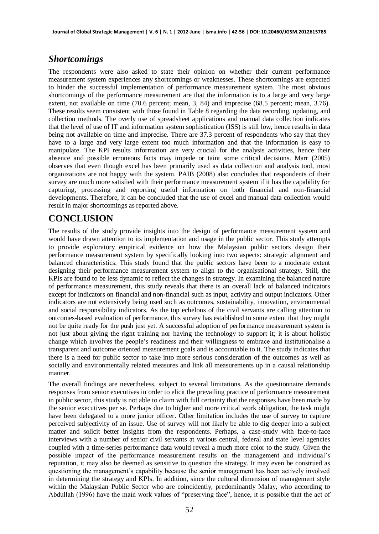### *Shortcomings*

The respondents were also asked to state their opinion on whether their current performance measurement system experiences any shortcomings or weaknesses. These shortcomings are expected to hinder the successful implementation of performance measurement system. The most obvious shortcomings of the performance measurement are that the information is to a large and very large extent, not available on time (70.6 percent; mean, 3, 84) and imprecise (68.5 percent; mean, 3.76). These results seem consistent with those found in Table 8 regarding the data recording, updating, and collection methods. The overly use of spreadsheet applications and manual data collection indicates that the level of use of IT and information system sophistication (ISS) is still low, hence results in data being not available on time and imprecise. There are 37.3 percent of respondents who say that they have to a large and very large extent too much information and that the information is easy to manipulate. The KPI results information are very crucial for the analysis activities, hence their absence and possible erroneous facts may impede or taint some critical decisions. Marr (2005) observes that even though excel has been primarily used as data collection and analysis tool, most organizations are not happy with the system. PAIB (2008) also concludes that respondents of their survey are much more satisfied with their performance measurement system if it has the capability for capturing, processing and reporting useful information on both financial and non-financial developments. Therefore, it can be concluded that the use of excel and manual data collection would result in major shortcomings as reported above.

# **CONCLUSION**

The results of the study provide insights into the design of performance measurement system and would have drawn attention to its implementation and usage in the public sector. This study attempts to provide exploratory empirical evidence on how the Malaysian public sectors design their performance measurement system by specifically looking into two aspects: strategic alignment and balanced characteristics. This study found that the public sectors have been to a moderate extent designing their performance measurement system to align to the organisational strategy. Still, the KPIs are found to be less dynamic to reflect the changes in strategy. In examining the balanced nature of performance measurement, this study reveals that there is an overall lack of balanced indicators except for indicators on financial and non-financial such as input, activity and output indicators. Other indicators are not extensively being used such as outcomes, sustainability, innovation, environmental and social responsibility indicators. As the top echelons of the civil servants are calling attention to outcomes-based evaluation of performance, this survey has established to some extent that they might not be quite ready for the push just yet. A successful adoption of performance measurement system is not just about giving the right training nor having the technology to support it; it is about holistic change which involves the people's readiness and their willingness to embrace and institutionalise a transparent and outcome oriented measurement goals and is accountable to it. The study indicates that there is a need for public sector to take into more serious consideration of the outcomes as well as socially and environmentally related measures and link all measurements up in a causal relationship manner.

The overall findings are nevertheless, subject to several limitations. As the questionnaire demands responses from senior executives in order to elicit the prevailing practice of performance measurement in public sector, this study is not able to claim with full certainty that the responses have been made by the senior executives per se. Perhaps due to higher and more critical work obligation, the task might have been delegated to a more junior officer. Other limitation includes the use of survey to capture perceived subjectivity of an issue. Use of survey will not likely be able to dig deeper into a subject matter and solicit better insights from the respondents. Perhaps, a case-study with face-to-face interviews with a number of senior civil servants at various central, federal and state level agencies coupled with a time-series performance data would reveal a much more color to the study. Given the possible impact of the performance measurement results on the management and individual's reputation, it may also be deemed as sensitive to question the strategy. It may even be construed as questioning the management's capability because the senior management has been actively involved in determining the strategy and KPIs. In addition, since the cultural dimension of management style within the Malaysian Public Sector who are coincidently, predominantly Malay, who according to Abdullah (1996) have the main work values of "preserving face", hence, it is possible that the act of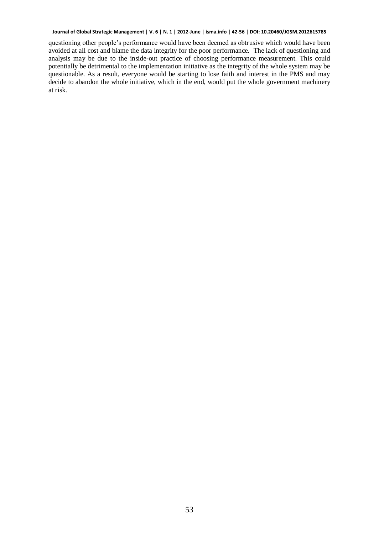questioning other people's performance would have been deemed as obtrusive which would have been avoided at all cost and blame the data integrity for the poor performance. The lack of questioning and analysis may be due to the inside-out practice of choosing performance measurement. This could potentially be detrimental to the implementation initiative as the integrity of the whole system may be questionable. As a result, everyone would be starting to lose faith and interest in the PMS and may decide to abandon the whole initiative, which in the end, would put the whole government machinery at risk.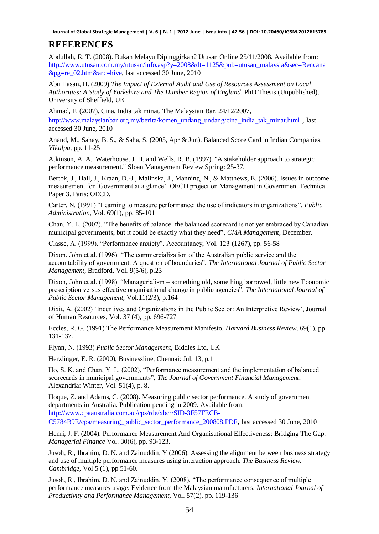# **REFERENCES**

Abdullah, R. T. (2008). Bukan Melayu Dipinggirkan? Utusan Online 25/11/2008. Available from: [http://www.utusan.com.my/utusan/info.asp?y=2008&dt=1125&pub=utusan\\_malaysia&sec=Rencana](http://www.utusan.com.my/utusan/info.asp?y=2008&dt=1125&pub=utusan_malaysia&sec=Rencana&pg=re_02.htm&arc=hive) [&pg=re\\_02.htm&arc=hive,](http://www.utusan.com.my/utusan/info.asp?y=2008&dt=1125&pub=utusan_malaysia&sec=Rencana&pg=re_02.htm&arc=hive) last accessed 30 June, 2010

Abu Hasan, H. (2009) *The Impact of External Audit and Use of Resources Assessment on Local Authorities: A Study of Yorkshire and The Humber Region of England*, PhD Thesis (Unpublished), University of Sheffield, UK

Ahmad, F. (2007). Cina, India tak minat. The Malaysian Bar. 24/12/2007,

[http://www.malaysianbar.org.my/berita/komen\\_undang\\_undang/cina\\_india\\_tak\\_minat.html](http://www.malaysianbar.org.my/berita/komen_undang_undang/cina_india_tak_minat.html) , last accessed 30 June, 2010

Anand, M., Sahay, B. S., & Saha, S. (2005, Apr & Jun). Balanced Score Card in Indian Companies. *VIkalpa,* pp. 11-25

Atkinson, A. A., Waterhouse, J. H. and Wells, R. B. (1997). "A stakeholder approach to strategic performance measurement." Sloan Management Review Spring: 25-37.

Bertok, J., Hall, J., Kraan, D.-J., Malinska, J., Manning, N., & Matthews, E. (2006). Issues in outcome measurement for 'Government at a glance'. OECD project on Management in Government Technical Paper 3. Paris: OECD.

Carter, N. (1991) "Learning to measure performance: the use of indicators in organizations", *Public Administration*, Vol. 69(1), pp. 85-101

Chan, Y. L. (2002). "The benefits of balance: the balanced scorecard is not yet embraced by Canadian municipal governments, but it could be exactly what they need", *CMA Management,* December.

Classe, A. (1999). "Performance anxiety". Accountancy, Vol. 123 (1267), pp. 56-58

Dixon, John et al. (1996). "The commercialization of the Australian public service and the accountability of government: A question of boundaries", *The International Journal of Public Sector Management,* Bradford, Vol. 9(5/6), p.23

Dixon, John et al. (1998). "Managerialism – something old, something borrowed, little new Economic prescription versus effective organisational change in public agencies", *The International Journal of Public Sector Management,* Vol.11(2/3), p.164

Dixit, A. (2002) 'Incentives and Organizations in the Public Sector: An Interpretive Review', Journal of Human Resources, Vol. 37 (4), pp. 696-727

Eccles, R. G. (1991) The Performance Measurement Manifesto. *Harvard Business Review,* 69(1), pp. 131-137*.* 

Flynn, N. (1993) *Public Sector Management*, Biddles Ltd, UK

Herzlinger, E. R. (2000), Businessline, Chennai: Jul. 13, p.1

Ho, S. K. and Chan, Y. L. (2002), "Performance measurement and the implementation of balanced scorecards in municipal governments", *The Journal of Government Financial Management*, Alexandria: Winter, Vol. 51(4), p. 8.

Hoque, Z. and Adams, C. (2008). Measuring public sector performance. A study of government departments in Australia. Publication pending in 2009. Available from: [http://www.cpaaustralia.com.au/cps/rde/xbcr/SID-3F57FECB-](http://www.cpaaustralia.com.au/cps/rde/xbcr/SID-3F57FECB-C5784B9E/cpa/measuring_public_sector_performance_200808.PDF)[C5784B9E/cpa/measuring\\_public\\_sector\\_performance\\_200808.PDF](http://www.cpaaustralia.com.au/cps/rde/xbcr/SID-3F57FECB-C5784B9E/cpa/measuring_public_sector_performance_200808.PDF), last accessed 30 June, 2010

Henri, J. F. (2004). Performance Measurement And Organisational Effectiveness: Bridging The Gap. *Managerial Finance* Vol. 30(6), pp. 93-123.

Jusoh, R., Ibrahim, D. N. and Zainuddin, Y (2006). Assessing the alignment between business strategy and use of multiple performance measures using interaction approach. *The Business Review. Cambridge,* Vol 5 (1), pp 51-60.

Jusoh, R., Ibrahim, D. N. and Zainuddin, Y. (2008). "The performance consequence of multiple performance measures usage: Evidence from the Malaysian manufacturers. *International Journal of Productivity and Performance Management,* Vol. 57(2), pp. 119-136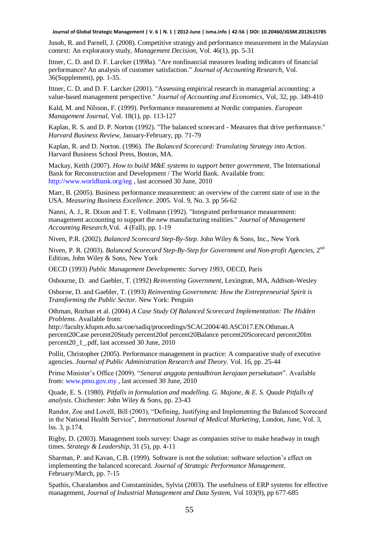Jusoh, R. and Parnell, J. (2008). Competitive strategy and performance measurement in the Malaysian context: An exploratory study, *Management Decision*, Vol. 46(1), pp. 5-31

Ittner, C. D. and D. F. Larcker (1998a). "Are nonfinancial measures leading indicators of financial performance? An analysis of customer satisfaction." *Journal of Accounting Research,* Vol. 36(Supplement), pp. 1-35.

Ittner, C. D. and D. F. Larcker (2001). "Assessing empirical research in managerial accounting: a value-based management perspective." *Journal of Accounting and Economics,* Vol, 32, pp. 349-410

Kald, M. and Nilsson, F. (1999). Performance measurement at Nordic companies. *European Management Journal*, Vol. 18(1), pp. 113-127

Kaplan, R. S. and D. P. Norton (1992). "The balanced scorecard - Measures that drive performance." *Harvard Business Review,* January-February, pp. 71-79

Kaplan, R. and D. Norton. (1996). *The Balanced Scorecard: Translating Strategy into Action*. Harvard Business School Press, Boston, MA.

Mackay, Keith (2007). *How to build M&E systems to support better government*, The International Bank for Reconstruction and Development / The World Bank. Available from: <http://www.worldbank.org/ieg>, last accessed 30 June, 2010

Marr, B. (2005). Business performance measurement: an overview of the current state of use in the USA. *Measuring Business Excellence*. 2005. Vol. 9, No. 3. pp 56-62

Nanni, A. J., R. Dixon and T. E. Vollmann (1992). "Integrated performance measurement: management accounting to support the new manufacturing realities." *Journal of Management Accounting Research,*Vol. 4 (Fall), pp. 1-19

Niven, P.R. (2002). *Balanced Scorecard Step-By-Step*. John Wiley & Sons, Inc., New York

Niven, P. R. (2003). *Balanced Scorecard Step-By-Step for Government and Non-profit Agencies*, 2nd Edition, John Wiley & Sons, New York

OECD (1993) *Public Management Developments: Survey 1993*, OECD, Paris

Osbourne, D. and Gaebler, T. (1992) *Reinventing Government*, Lexington, MA, Addison-Wesley

Osborne, D. and Gaebler, T. (1993) *Reinventing Government: How the Entrepreneurial Spirit is Transforming the Public Sector.* New York: Penguin

Othman, Rozhan et al. (2004) *A Case Study Of Balanced Scorecard Implementation: The Hidden Problems*. Available from:

http://faculty.kfupm.edu.sa/coe/sadiq/proceedings/SCAC2004/40.ASC017.EN.Othman.A percent20Case percent20Study percent20of percent20Balance percent20Scorecard percent20Im percent20\_1\_.pdf, last accessed 30 June, 2010

Pollit, Christopher (2005). Performance management in practice: A comparative study of executive agencies. *Journal of Public Administration Research and Theory*. Vol. 16, pp. 25-44

Prime Minister's Office (2009). "*Senarai anggota pentadbiran kerajaan persekutuan*". Available from[: www.pmo.gov.my](http://www.pmo.gov.my/) , last accessed 30 June, 2010

Quade, E. S. (1980). *Pitfalls in formulation and modelling. G. Majone, & E. S. Quade Pitfalls of analysis*. Chichester: John Wiley & Sons, pp. 23-43

Randor, Zoe and Lovell, Bill (2003), "Defining, Justifying and Implementing the Balanced Scorecard in the National Health Service", *International Journal of Medical Marketing*, London, June, Vol. 3, lss. 3, p.174.

Rigby, D. (2003). Management tools survey: Usage as companies strive to make headway in tough times. *Strategy & Leadership*, 31 (5), pp. 4-11

Sharman, P. and Kavan, C.B. (1999). Software is not the solution: software selection's effect on implementing the balanced scorecard. *Journal of Strategic Performance Management*. February/March, pp. 7-15

Spathis, Charalambos and Constantinides, Sylvia (2003). The usefulness of ERP systems for effective management, *Journal of Industrial Management and Data System,* Vol 103(9), pp 677-685